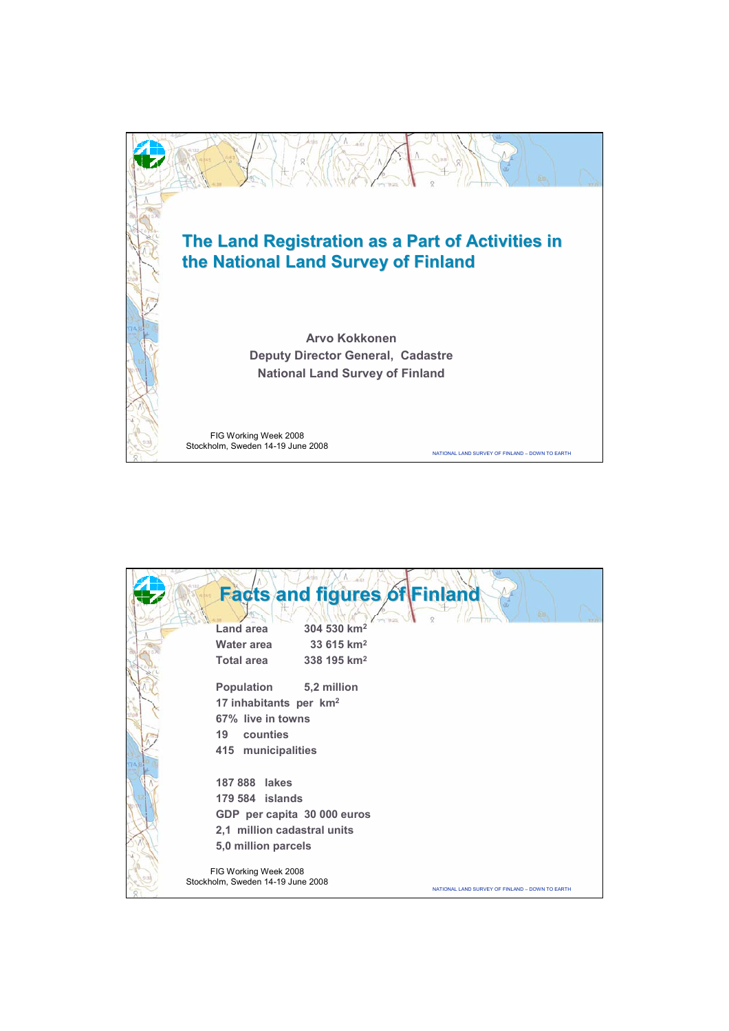

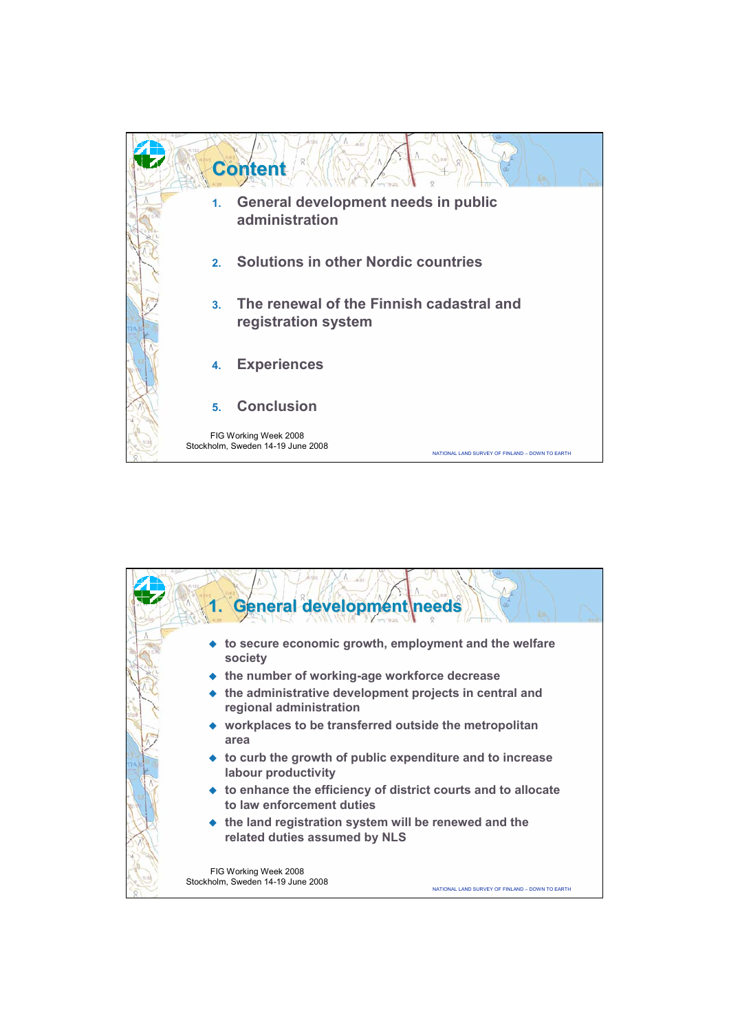

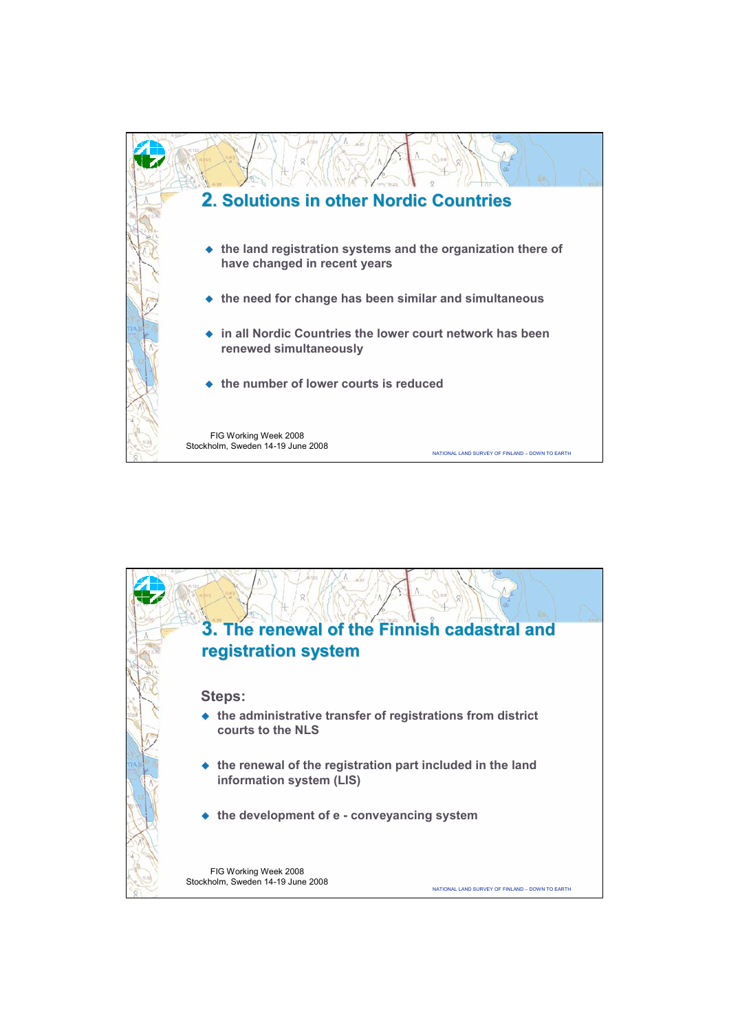

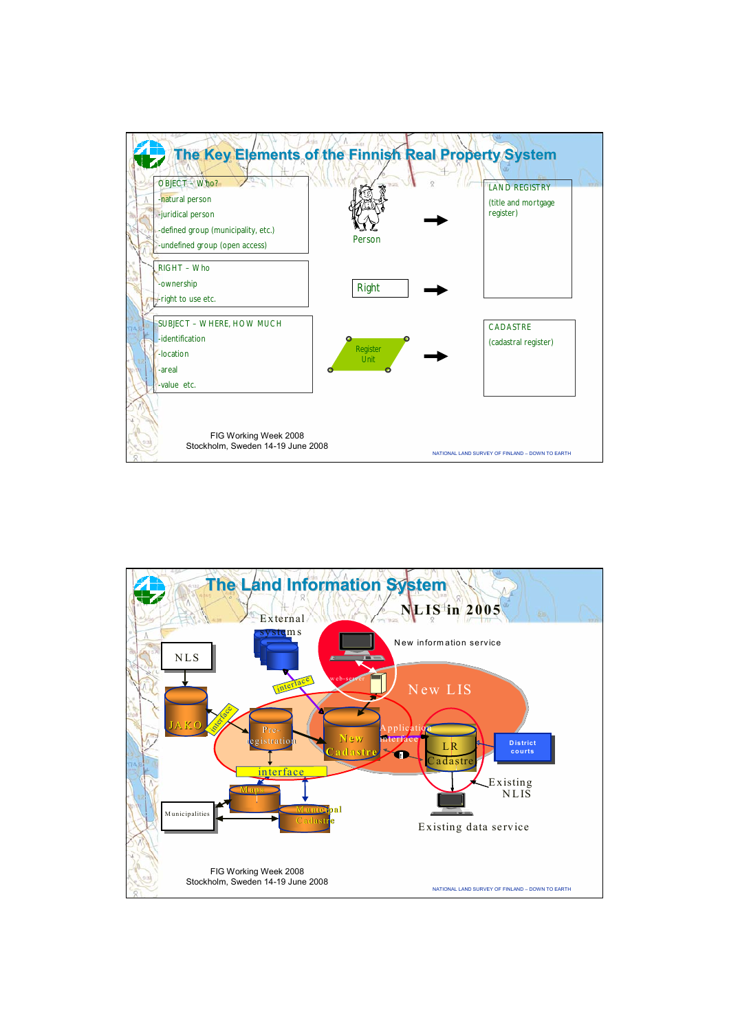

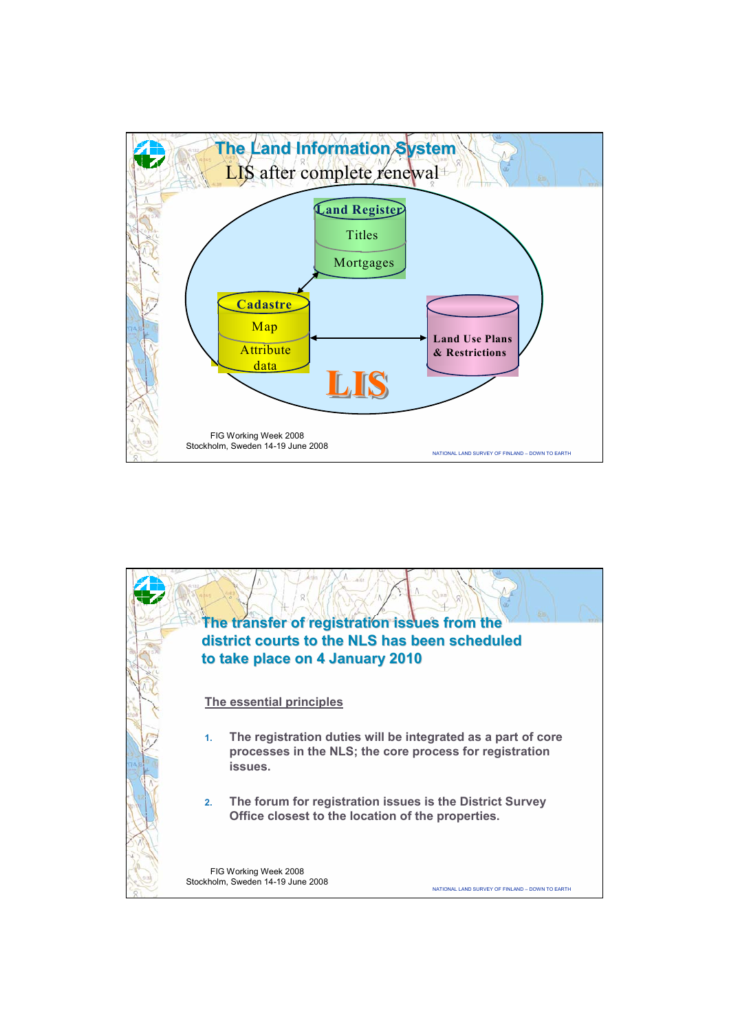

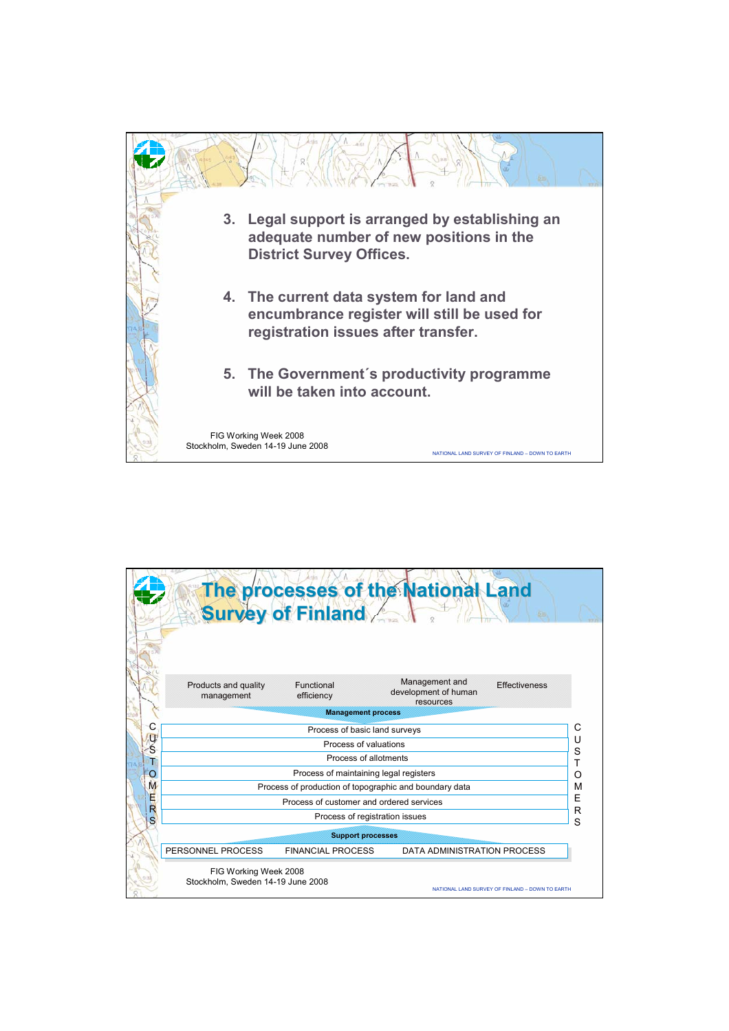